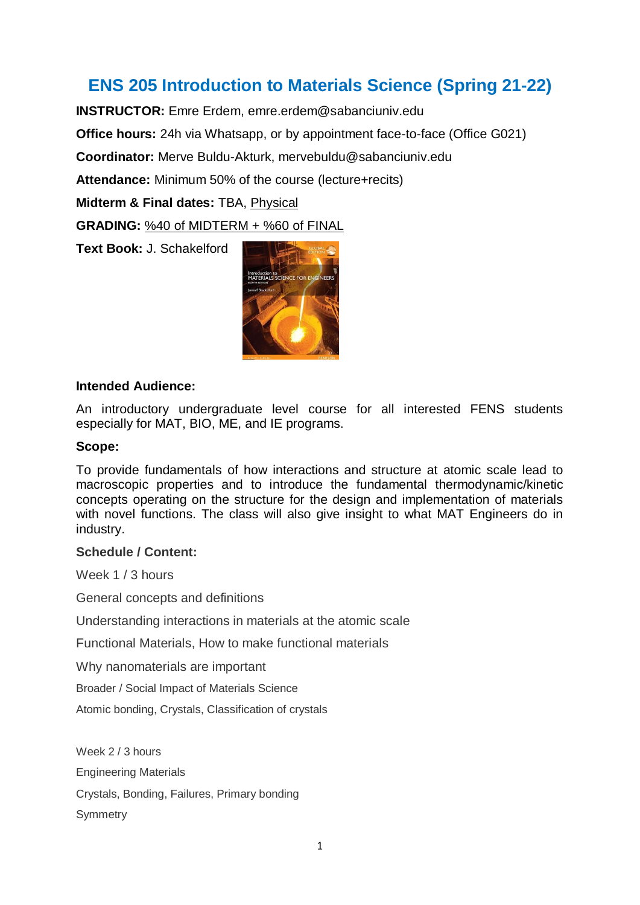## **ENS 205 Introduction to Materials Science (Spring 21-22)**

**INSTRUCTOR:** Emre Erdem, emre.erdem@sabanciuniv.edu **Office hours:** 24h via Whatsapp, or by appointment face-to-face (Office G021) **Coordinator:** Merve Buldu-Akturk, mervebuldu@sabanciuniv.edu **Attendance:** Minimum 50% of the course (lecture+recits) **Midterm & Final dates:** TBA, Physical **GRADING:** %40 of MIDTERM + %60 of FINAL

**Text Book:** J. Schakelford



## **Intended Audience:**

An introductory undergraduate level course for all interested FENS students especially for MAT, BIO, ME, and IE programs.

## **Scope:**

To provide fundamentals of how interactions and structure at atomic scale lead to macroscopic properties and to introduce the fundamental thermodynamic/kinetic concepts operating on the structure for the design and implementation of materials with novel functions. The class will also give insight to what MAT Engineers do in industry.

## **Schedule / Content:**

Week 1 / 3 hours

General concepts and definitions

Understanding interactions in materials at the atomic scale

Functional Materials, How to make functional materials

Why nanomaterials are important

Broader / Social Impact of Materials Science

Atomic bonding, Crystals, Classification of crystals

Week 2 / 3 hours

Engineering Materials

Crystals, Bonding, Failures, Primary bonding

**Symmetry**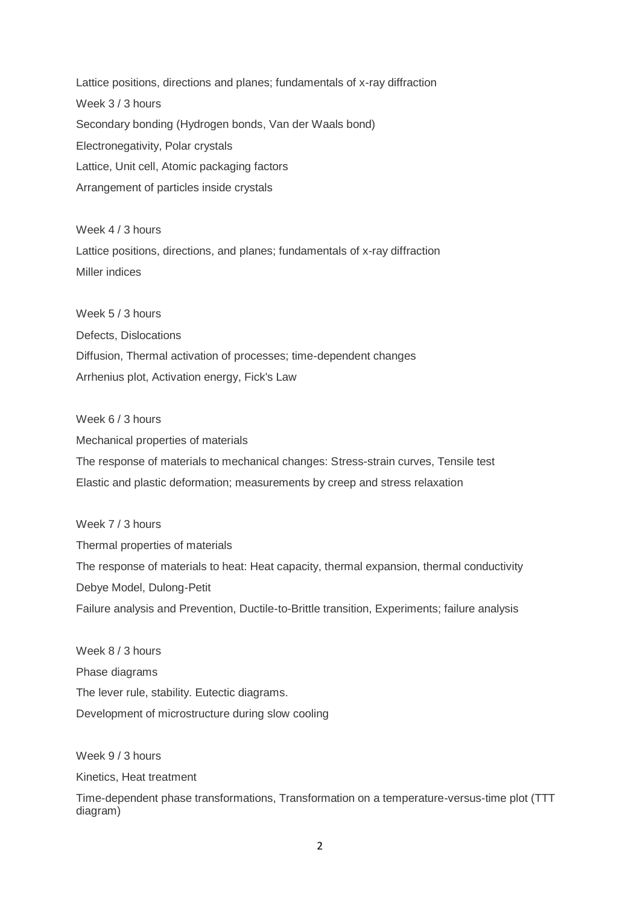Lattice positions, directions and planes; fundamentals of x-ray diffraction Week 3 / 3 hours Secondary bonding (Hydrogen bonds, Van der Waals bond) Electronegativity, Polar crystals Lattice, Unit cell, Atomic packaging factors Arrangement of particles inside crystals

Week 4 / 3 hours Lattice positions, directions, and planes; fundamentals of x-ray diffraction Miller indices

Week 5 / 3 hours Defects, Dislocations Diffusion, Thermal activation of processes; time-dependent changes Arrhenius plot, Activation energy, Fick's Law

Week 6 / 3 hours Mechanical properties of materials The response of materials to mechanical changes: Stress-strain curves, Tensile test Elastic and plastic deformation; measurements by creep and stress relaxation

Week 7 / 3 hours Thermal properties of materials The response of materials to heat: Heat capacity, thermal expansion, thermal conductivity Debye Model, Dulong-Petit Failure analysis and Prevention, Ductile-to-Brittle transition, Experiments; failure analysis

Week 8 / 3 hours Phase diagrams The lever rule, stability. Eutectic diagrams. Development of microstructure during slow cooling

Week 9 / 3 hours

Kinetics, Heat treatment

Time-dependent phase transformations, Transformation on a temperature-versus-time plot (TTT diagram)